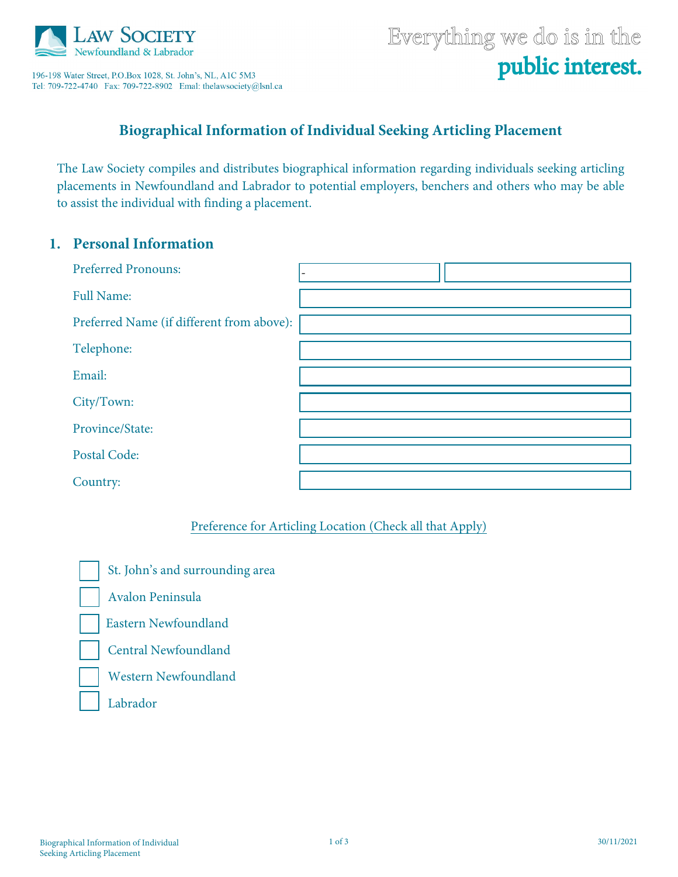

196-198 Water Street, P.O.Box 1028, St. John's, NL, A1C 5M3 Tel: 709-722-4740 Fax: 709-722-8902 Emal: thelawsociety@lsnl.ca

# Everything we do is in the public interest.

## **Biographical Information of Individual Seeking Articling Placement**

The Law Society compiles and distributes biographical information regarding individuals seeking articling placements in Newfoundland and Labrador to potential employers, benchers and others who may be able to assist the individual with finding a placement.

#### **1. Personal Information**

| <b>Preferred Pronouns:</b>                |  |
|-------------------------------------------|--|
| <b>Full Name:</b>                         |  |
| Preferred Name (if different from above): |  |
| Telephone:                                |  |
| Email:                                    |  |
| City/Town:                                |  |
| Province/State:                           |  |
| Postal Code:                              |  |
| Country:                                  |  |

#### Preference for Articling Location (Check all that Apply)

St. John's and surrounding area

Avalon Peninsula

Eastern Newfoundland

Central Newfoundland

Western Newfoundland

Labrador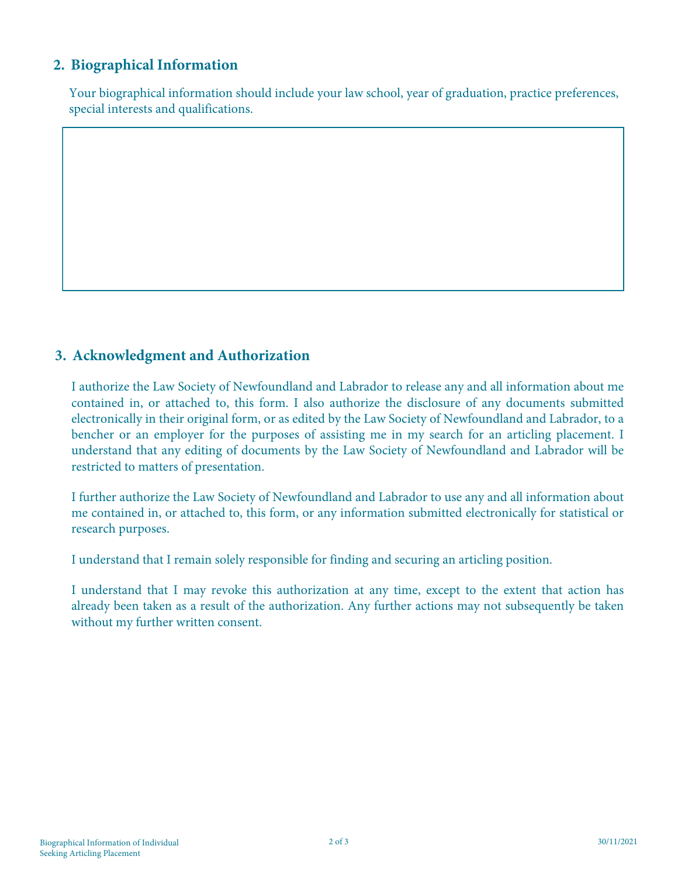## **2. Biographical Information**

Your biographical information should include your law school, year of graduation, practice preferences, special interests and qualifications.

### **3. Acknowledgment and Authorization**

I authorize the Law Society of Newfoundland and Labrador to release any and all information about me contained in, or attached to, this form. I also authorize the disclosure of any documents submitted electronically in their original form, or as edited by the Law Society of Newfoundland and Labrador, to a bencher or an employer for the purposes of assisting me in my search for an articling placement. I understand that any editing of documents by the Law Society of Newfoundland and Labrador will be restricted to matters of presentation.

I further authorize the Law Society of Newfoundland and Labrador to use any and all information about me contained in, or attached to, this form, or any information submitted electronically for statistical or research purposes.

I understand that I remain solely responsible for finding and securing an articling position.

I understand that I may revoke this authorization at any time, except to the extent that action has already been taken as a result of the authorization. Any further actions may not subsequently be taken without my further written consent.